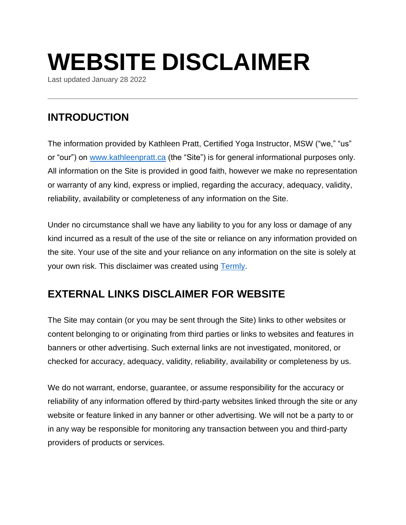# **WEBSITE DISCLAIMER**

Last updated January 28 2022

#### **INTRODUCTION**

The information provided by Kathleen Pratt, Certified Yoga Instructor, MSW ("we," "us" or "our") on [www.kathleenpratt.ca](file:///C:/Users/User/Downloads/www.kathleenpratt.ca) (the "Site") is for general informational purposes only. All information on the Site is provided in good faith, however we make no representation or warranty of any kind, express or implied, regarding the accuracy, adequacy, validity, reliability, availability or completeness of any information on the Site.

Under no circumstance shall we have any liability to you for any loss or damage of any kind incurred as a result of the use of the site or reliance on any information provided on the site. Your use of the site and your reliance on any information on the site is solely at your own risk. This disclaimer was created using [Termly.](https://termly.io/resources/templates/disclaimer-template/)

#### **EXTERNAL LINKS DISCLAIMER FOR WEBSITE**

The Site may contain (or you may be sent through the Site) links to other websites or content belonging to or originating from third parties or links to websites and features in banners or other advertising. Such external links are not investigated, monitored, or checked for accuracy, adequacy, validity, reliability, availability or completeness by us.

We do not warrant, endorse, guarantee, or assume responsibility for the accuracy or reliability of any information offered by third-party websites linked through the site or any website or feature linked in any banner or other advertising. We will not be a party to or in any way be responsible for monitoring any transaction between you and third-party providers of products or services.